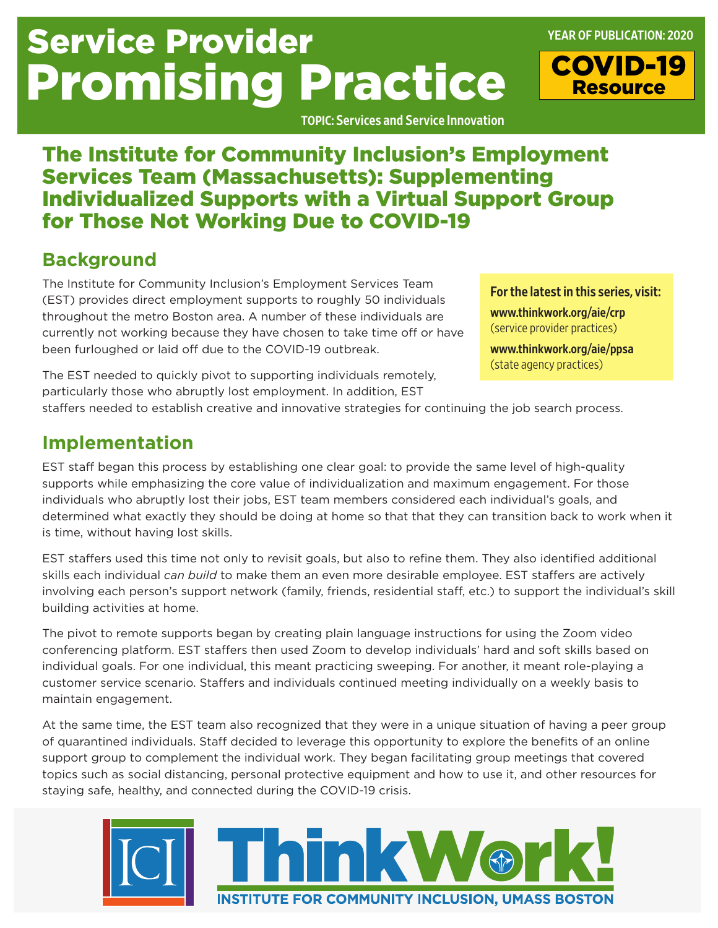# Service Provider Promising Practice

TOPIC: Services and Service Innovation

## The Institute for Community Inclusion's Employment Services Team (Massachusetts): Supplementing Individualized Supports with a Virtual Support Group for Those Not Working Due to COVID-19

## **Background**

The Institute for Community Inclusion's Employment Services Team (EST) provides direct employment supports to roughly 50 individuals throughout the metro Boston area. A number of these individuals are currently not working because they have chosen to take time off or have been furloughed or laid off due to the COVID-19 outbreak.

For the latest in this series, visit:

YEAR OF PUBLICATION: 2020

COVID-19 Resource

[www.thinkwork.org/aie/crp](http://www.thinkwork.org/aie/crp) (service provider practices)

[www.thinkwork.org/aie/ppsa](http://www.thinkwork.org/aie/ppsa)  (state agency practices)

The EST needed to quickly pivot to supporting individuals remotely, particularly those who abruptly lost employment. In addition, EST

staffers needed to establish creative and innovative strategies for continuing the job search process.

### **Implementation**

EST staff began this process by establishing one clear goal: to provide the same level of high-quality supports while emphasizing the core value of individualization and maximum engagement. For those individuals who abruptly lost their jobs, EST team members considered each individual's goals, and determined what exactly they should be doing at home so that that they can transition back to work when it is time, without having lost skills.

EST staffers used this time not only to revisit goals, but also to refine them. They also identified additional skills each individual *can build* to make them an even more desirable employee. EST staffers are actively involving each person's support network (family, friends, residential staff, etc.) to support the individual's skill building activities at home.

The pivot to remote supports began by creating plain language instructions for using the Zoom video conferencing platform. EST staffers then used Zoom to develop individuals' hard and soft skills based on individual goals. For one individual, this meant practicing sweeping. For another, it meant role-playing a customer service scenario. Staffers and individuals continued meeting individually on a weekly basis to maintain engagement.

At the same time, the EST team also recognized that they were in a unique situation of having a peer group of quarantined individuals. Staff decided to leverage this opportunity to explore the benefits of an online support group to complement the individual work. They began facilitating group meetings that covered topics such as social distancing, personal protective equipment and how to use it, and other resources for staying safe, healthy, and connected during the COVID-19 crisis.